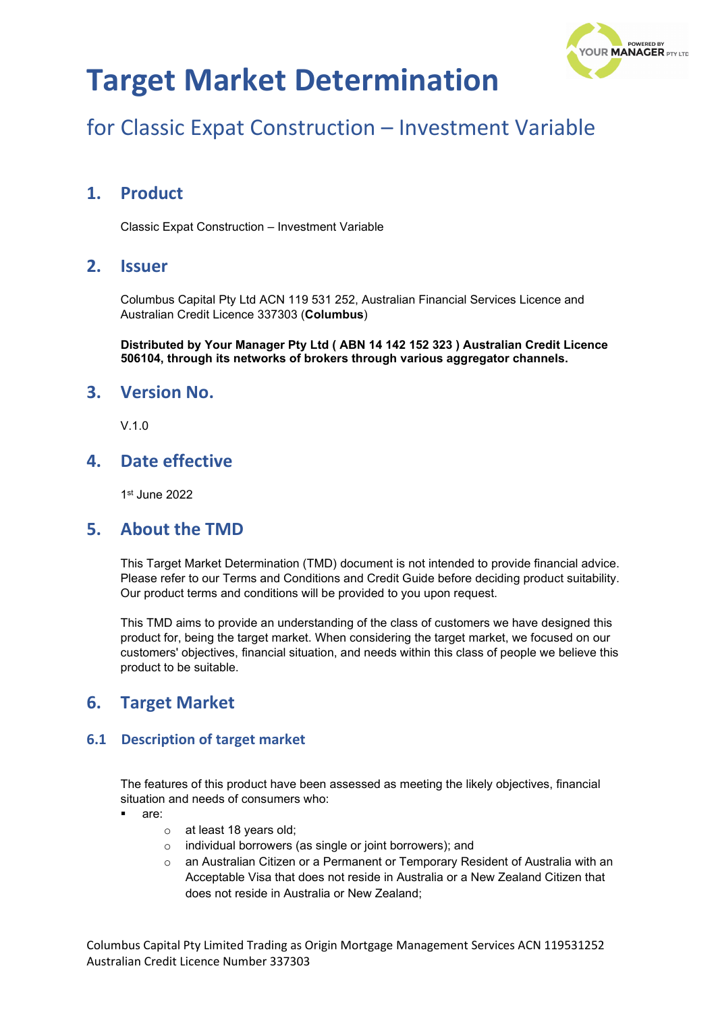

# for Classic Expat Construction – Investment Variable

## **1. Product**

Classic Expat Construction – Investment Variable

### **2. Issuer**

Columbus Capital Pty Ltd ACN 119 531 252, Australian Financial Services Licence and Australian Credit Licence 337303 (**Columbus**)

**Distributed by Your Manager Pty Ltd ( ABN 14 142 152 323 ) Australian Credit Licence 506104, through its networks of brokers through various aggregator channels.**

### **3. Version No.**

 $V$  1.0

### **4. Date effective**

1st June 2022

### **5. About the TMD**

This Target Market Determination (TMD) document is not intended to provide financial advice. Please refer to our Terms and Conditions and Credit Guide before deciding product suitability. Our product terms and conditions will be provided to you upon request.

This TMD aims to provide an understanding of the class of customers we have designed this product for, being the target market. When considering the target market, we focused on our customers' objectives, financial situation, and needs within this class of people we believe this product to be suitable.

### **6. Target Market**

#### **6.1 Description of target market**

The features of this product have been assessed as meeting the likely objectives, financial situation and needs of consumers who:

- are:
	- o at least 18 years old;
	- o individual borrowers (as single or joint borrowers); and
	- o an Australian Citizen or a Permanent or Temporary Resident of Australia with an Acceptable Visa that does not reside in Australia or a New Zealand Citizen that does not reside in Australia or New Zealand;

Columbus Capital Pty Limited Trading as Origin Mortgage Management Services ACN 119531252 Australian Credit Licence Number 337303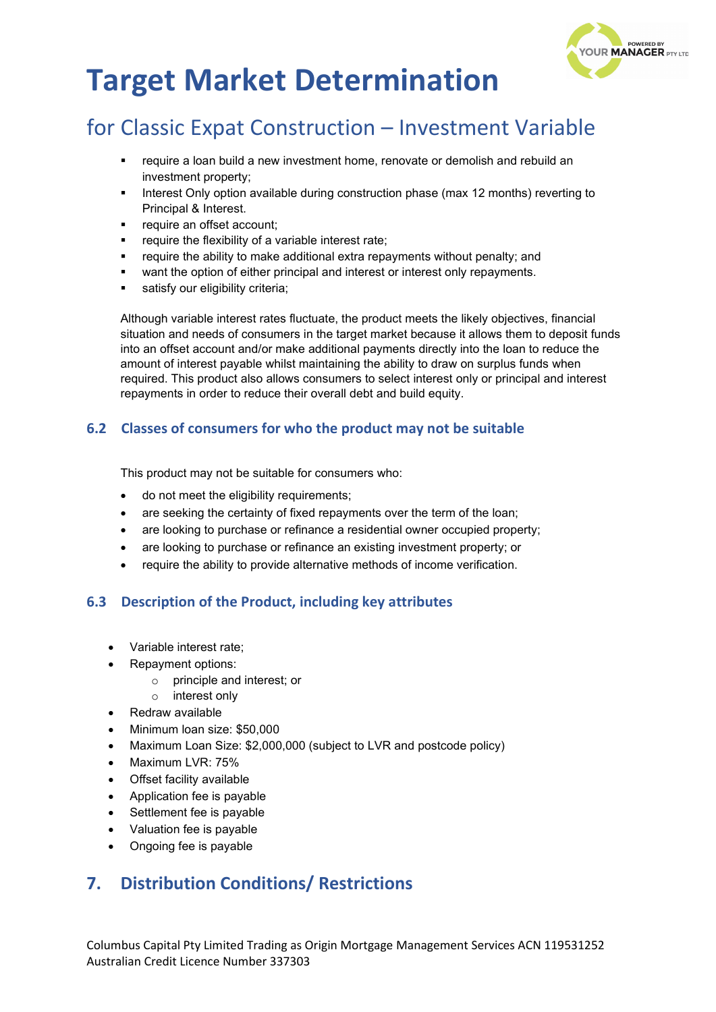

# for Classic Expat Construction – Investment Variable

- require a loan build a new investment home, renovate or demolish and rebuild an investment property;
- Interest Only option available during construction phase (max 12 months) reverting to Principal & Interest.
- **•** require an offset account;
- require the flexibility of a variable interest rate;
- require the ability to make additional extra repayments without penalty; and
- want the option of either principal and interest or interest only repayments.
- satisfy our eligibility criteria:

Although variable interest rates fluctuate, the product meets the likely objectives, financial situation and needs of consumers in the target market because it allows them to deposit funds into an offset account and/or make additional payments directly into the loan to reduce the amount of interest payable whilst maintaining the ability to draw on surplus funds when required. This product also allows consumers to select interest only or principal and interest repayments in order to reduce their overall debt and build equity.

#### **6.2 Classes of consumers for who the product may not be suitable**

This product may not be suitable for consumers who:

- do not meet the eligibility requirements;
- are seeking the certainty of fixed repayments over the term of the loan;
- are looking to purchase or refinance a residential owner occupied property;
- are looking to purchase or refinance an existing investment property; or
- require the ability to provide alternative methods of income verification.

#### **6.3 Description of the Product, including key attributes**

- Variable interest rate;
- Repayment options:
	- o principle and interest; or
	- o interest only
- Redraw available
- Minimum loan size: \$50,000
- Maximum Loan Size: \$2,000,000 (subject to LVR and postcode policy)
- Maximum LVR: 75%
- **Offset facility available**
- Application fee is payable
- Settlement fee is payable
- Valuation fee is payable
- Ongoing fee is payable

### **7. Distribution Conditions/ Restrictions**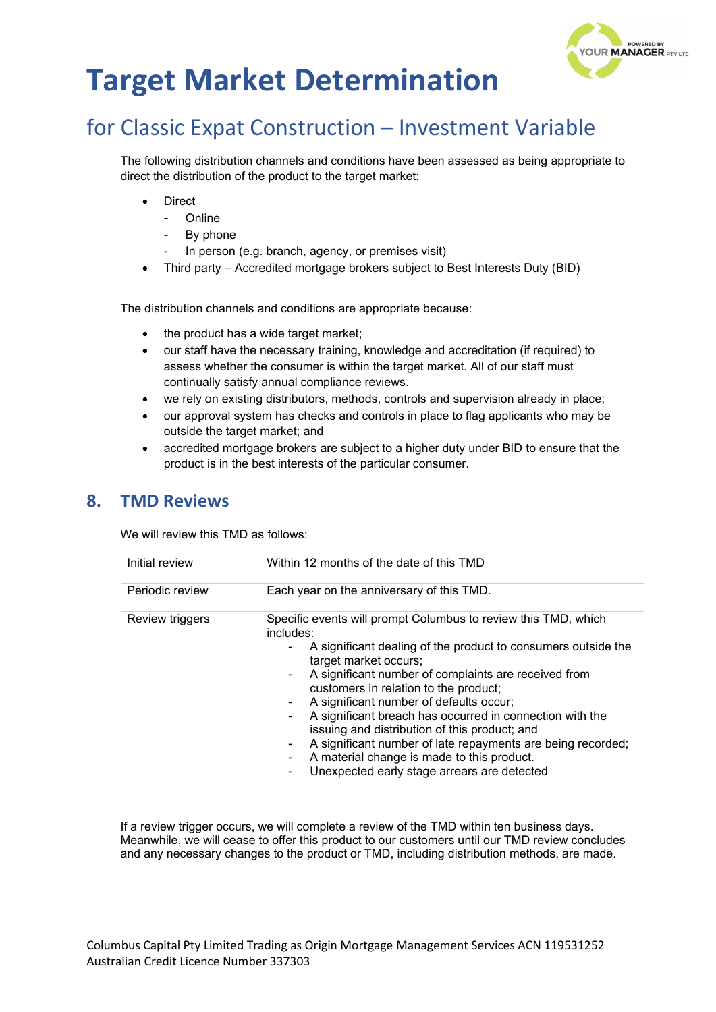

# for Classic Expat Construction – Investment Variable

The following distribution channels and conditions have been assessed as being appropriate to direct the distribution of the product to the target market:

- **Direct** 
	- Online
	- By phone
	- In person (e.g. branch, agency, or premises visit)
- Third party Accredited mortgage brokers subject to Best Interests Duty (BID)

The distribution channels and conditions are appropriate because:

- the product has a wide target market;
- our staff have the necessary training, knowledge and accreditation (if required) to assess whether the consumer is within the target market. All of our staff must continually satisfy annual compliance reviews.
- we rely on existing distributors, methods, controls and supervision already in place;
- our approval system has checks and controls in place to flag applicants who may be outside the target market; and
- accredited mortgage brokers are subject to a higher duty under BID to ensure that the product is in the best interests of the particular consumer.

#### **8. TMD Reviews**

We will review this TMD as follows:

| Initial review  | Within 12 months of the date of this TMD                                                                                                                                                                                                                                                                                                                                                                                                                                                                                                                                                                                           |  |
|-----------------|------------------------------------------------------------------------------------------------------------------------------------------------------------------------------------------------------------------------------------------------------------------------------------------------------------------------------------------------------------------------------------------------------------------------------------------------------------------------------------------------------------------------------------------------------------------------------------------------------------------------------------|--|
| Periodic review | Each year on the anniversary of this TMD.                                                                                                                                                                                                                                                                                                                                                                                                                                                                                                                                                                                          |  |
| Review triggers | Specific events will prompt Columbus to review this TMD, which<br>includes:<br>A significant dealing of the product to consumers outside the<br>target market occurs;<br>A significant number of complaints are received from<br>$\sim$<br>customers in relation to the product;<br>A significant number of defaults occur;<br>۰.<br>A significant breach has occurred in connection with the<br>$\blacksquare$<br>issuing and distribution of this product; and<br>A significant number of late repayments are being recorded;<br>۰.<br>A material change is made to this product.<br>Unexpected early stage arrears are detected |  |

If a review trigger occurs, we will complete a review of the TMD within ten business days. Meanwhile, we will cease to offer this product to our customers until our TMD review concludes and any necessary changes to the product or TMD, including distribution methods, are made.